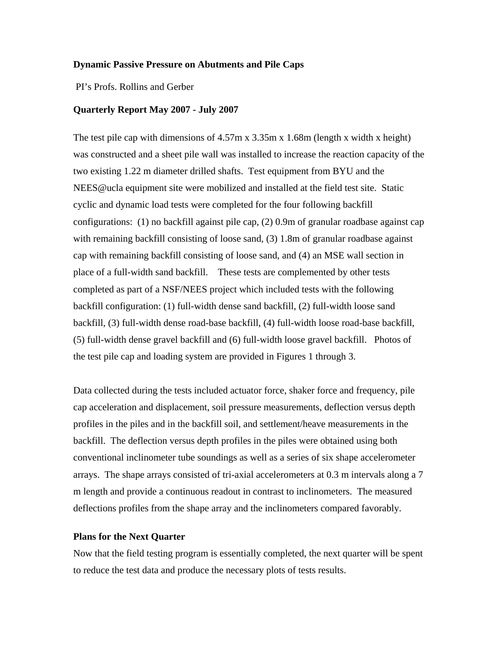## **Dynamic Passive Pressure on Abutments and Pile Caps**

PI's Profs. Rollins and Gerber

## **Quarterly Report May 2007 - July 2007**

The test pile cap with dimensions of 4.57m x 3.35m x 1.68m (length x width x height) was constructed and a sheet pile wall was installed to increase the reaction capacity of the two existing 1.22 m diameter drilled shafts. Test equipment from BYU and the NEES@ucla equipment site were mobilized and installed at the field test site. Static cyclic and dynamic load tests were completed for the four following backfill configurations: (1) no backfill against pile cap, (2) 0.9m of granular roadbase against cap with remaining backfill consisting of loose sand, (3) 1.8m of granular roadbase against cap with remaining backfill consisting of loose sand, and (4) an MSE wall section in place of a full-width sand backfill. These tests are complemented by other tests completed as part of a NSF/NEES project which included tests with the following backfill configuration: (1) full-width dense sand backfill, (2) full-width loose sand backfill, (3) full-width dense road-base backfill, (4) full-width loose road-base backfill, (5) full-width dense gravel backfill and (6) full-width loose gravel backfill. Photos of the test pile cap and loading system are provided in Figures 1 through 3.

Data collected during the tests included actuator force, shaker force and frequency, pile cap acceleration and displacement, soil pressure measurements, deflection versus depth profiles in the piles and in the backfill soil, and settlement/heave measurements in the backfill. The deflection versus depth profiles in the piles were obtained using both conventional inclinometer tube soundings as well as a series of six shape accelerometer arrays. The shape arrays consisted of tri-axial accelerometers at 0.3 m intervals along a 7 m length and provide a continuous readout in contrast to inclinometers. The measured deflections profiles from the shape array and the inclinometers compared favorably.

## **Plans for the Next Quarter**

Now that the field testing program is essentially completed, the next quarter will be spent to reduce the test data and produce the necessary plots of tests results.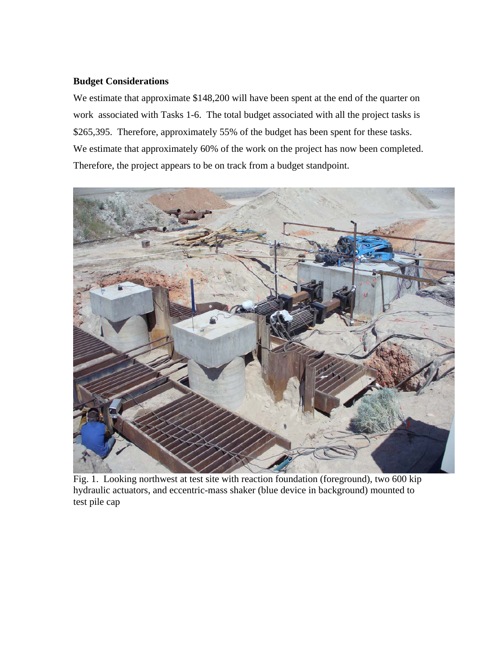## **Budget Considerations**

We estimate that approximate \$148,200 will have been spent at the end of the quarter on work associated with Tasks 1-6. The total budget associated with all the project tasks is \$265,395. Therefore, approximately 55% of the budget has been spent for these tasks. We estimate that approximately 60% of the work on the project has now been completed. Therefore, the project appears to be on track from a budget standpoint.



Fig. 1. Looking northwest at test site with reaction foundation (foreground), two 600 kip hydraulic actuators, and eccentric-mass shaker (blue device in background) mounted to test pile cap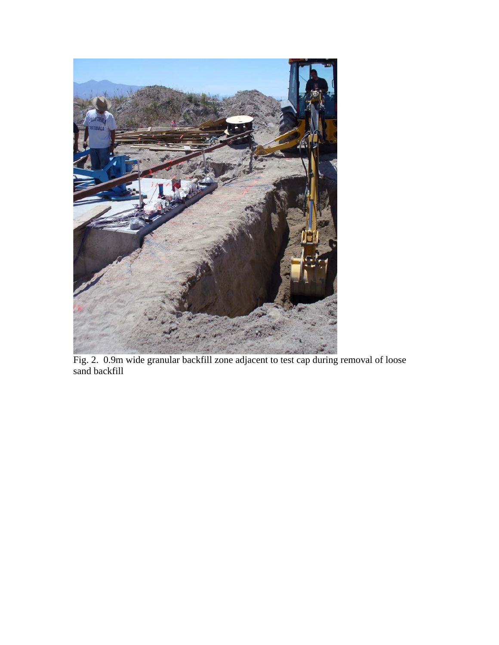

Fig. 2. 0.9m wide granular backfill zone adjacent to test cap during removal of loose sand backfill